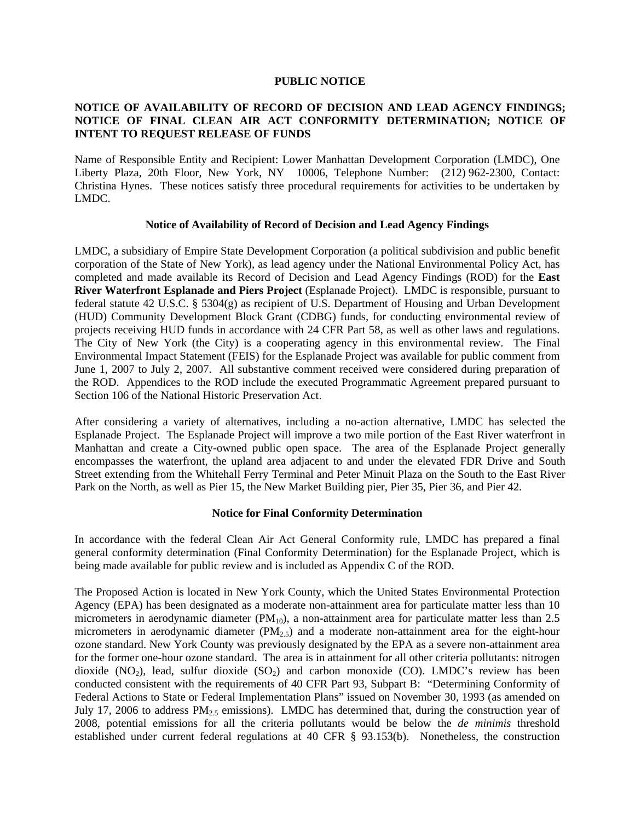#### **PUBLIC NOTICE**

# **NOTICE OF AVAILABILITY OF RECORD OF DECISION AND LEAD AGENCY FINDINGS; NOTICE OF FINAL CLEAN AIR ACT CONFORMITY DETERMINATION; NOTICE OF INTENT TO REQUEST RELEASE OF FUNDS**

Name of Responsible Entity and Recipient: Lower Manhattan Development Corporation (LMDC), One Liberty Plaza, 20th Floor, New York, NY 10006, Telephone Number: (212) 962-2300, Contact: Christina Hynes. These notices satisfy three procedural requirements for activities to be undertaken by LMDC.

#### **Notice of Availability of Record of Decision and Lead Agency Findings**

LMDC, a subsidiary of Empire State Development Corporation (a political subdivision and public benefit corporation of the State of New York), as lead agency under the National Environmental Policy Act, has completed and made available its Record of Decision and Lead Agency Findings (ROD) for the **East River Waterfront Esplanade and Piers Project** (Esplanade Project). LMDC is responsible, pursuant to federal statute 42 U.S.C. § 5304(g) as recipient of U.S. Department of Housing and Urban Development (HUD) Community Development Block Grant (CDBG) funds, for conducting environmental review of projects receiving HUD funds in accordance with 24 CFR Part 58, as well as other laws and regulations. The City of New York (the City) is a cooperating agency in this environmental review. The Final Environmental Impact Statement (FEIS) for the Esplanade Project was available for public comment from June 1, 2007 to July 2, 2007. All substantive comment received were considered during preparation of the ROD. Appendices to the ROD include the executed Programmatic Agreement prepared pursuant to Section 106 of the National Historic Preservation Act.

After considering a variety of alternatives, including a no-action alternative, LMDC has selected the Esplanade Project. The Esplanade Project will improve a two mile portion of the East River waterfront in Manhattan and create a City-owned public open space. The area of the Esplanade Project generally encompasses the waterfront, the upland area adjacent to and under the elevated FDR Drive and South Street extending from the Whitehall Ferry Terminal and Peter Minuit Plaza on the South to the East River Park on the North, as well as Pier 15, the New Market Building pier, Pier 35, Pier 36, and Pier 42.

### **Notice for Final Conformity Determination**

In accordance with the federal Clean Air Act General Conformity rule, LMDC has prepared a final general conformity determination (Final Conformity Determination) for the Esplanade Project, which is being made available for public review and is included as Appendix C of the ROD.

The Proposed Action is located in New York County, which the United States Environmental Protection Agency (EPA) has been designated as a moderate non-attainment area for particulate matter less than 10 micrometers in aerodynamic diameter  $(PM_{10})$ , a non-attainment area for particulate matter less than 2.5 micrometers in aerodynamic diameter  $(PM_{2.5})$  and a moderate non-attainment area for the eight-hour ozone standard. New York County was previously designated by the EPA as a severe non-attainment area for the former one-hour ozone standard. The area is in attainment for all other criteria pollutants: nitrogen dioxide  $(NO_2)$ , lead, sulfur dioxide  $(SO_2)$  and carbon monoxide  $(CO)$ . LMDC's review has been conducted consistent with the requirements of 40 CFR Part 93, Subpart B: "Determining Conformity of Federal Actions to State or Federal Implementation Plans" issued on November 30, 1993 (as amended on July 17, 2006 to address  $PM_{2.5}$  emissions). LMDC has determined that, during the construction year of 2008, potential emissions for all the criteria pollutants would be below the *de minimis* threshold established under current federal regulations at 40 CFR § 93.153(b). Nonetheless, the construction